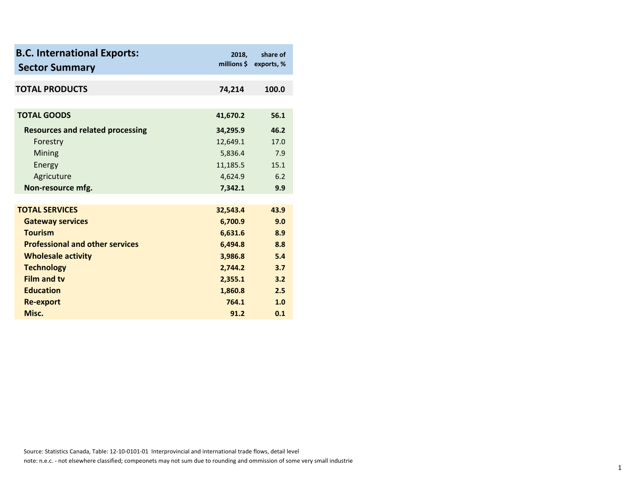| <b>B.C. International Exports:</b><br><b>Sector Summary</b> | 2018,    | share of<br>millions \$ exports, % |
|-------------------------------------------------------------|----------|------------------------------------|
| <b>TOTAL PRODUCTS</b>                                       | 74,214   | 100.0                              |
| <b>TOTAL GOODS</b>                                          | 41,670.2 | 56.1                               |
|                                                             |          |                                    |
| <b>Resources and related processing</b>                     | 34,295.9 | 46.2                               |
| Forestry                                                    | 12,649.1 | 17.0                               |
| Mining                                                      | 5,836.4  | 7.9                                |
| Energy                                                      | 11,185.5 | 15.1                               |
| Agricuture                                                  | 4,624.9  | 6.2                                |
| Non-resource mfg.                                           | 7,342.1  | 9.9                                |
|                                                             |          |                                    |
| <b>TOTAL SERVICES</b>                                       | 32,543.4 | 43.9                               |
| <b>Gateway services</b>                                     | 6,700.9  | 9.0                                |
| <b>Tourism</b>                                              | 6,631.6  | 8.9                                |
| <b>Professional and other services</b>                      | 6,494.8  | 8.8                                |
| <b>Wholesale activity</b>                                   | 3,986.8  | 5.4                                |
| <b>Technology</b>                                           | 2,744.2  | 3.7                                |
| <b>Film and tv</b>                                          | 2,355.1  | 3.2                                |
| <b>Education</b>                                            | 1,860.8  | 2.5                                |
| <b>Re-export</b>                                            | 764.1    | 1.0                                |
|                                                             |          |                                    |
| Misc.                                                       | 91.2     | 0.1                                |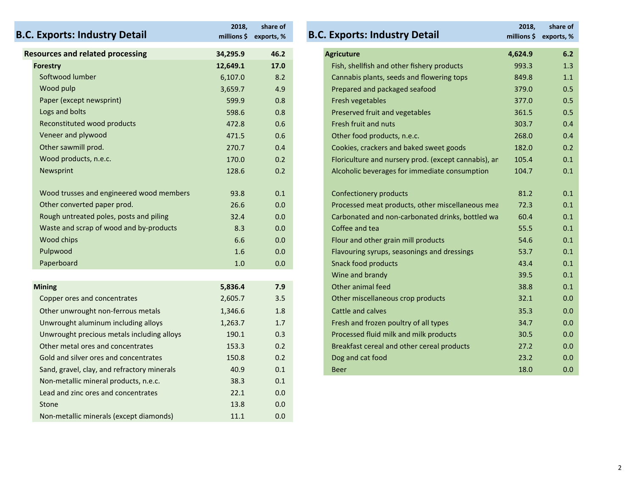| <b>B.C. Exports: Industry Detail</b>        | 2018,    | share of<br>millions \$ exports, % | <b>B.C. Exports: Industry Detail</b>                 | 2018,<br>millions \$ | share of<br>exports, % |
|---------------------------------------------|----------|------------------------------------|------------------------------------------------------|----------------------|------------------------|
| <b>Resources and related processing</b>     | 34,295.9 | 46.2                               | <b>Agricuture</b>                                    | 4,624.9              | 6.2                    |
| <b>Forestry</b>                             | 12,649.1 | 17.0                               | Fish, shellfish and other fishery products           | 993.3                | 1.3                    |
| Softwood lumber                             | 6,107.0  | 8.2                                | Cannabis plants, seeds and flowering tops            | 849.8                | 1.1                    |
| Wood pulp                                   | 3,659.7  | 4.9                                | Prepared and packaged seafood                        | 379.0                | 0.5                    |
| Paper (except newsprint)                    | 599.9    | 0.8                                | Fresh vegetables                                     | 377.0                | 0.5                    |
| Logs and bolts                              | 598.6    | 0.8                                | Preserved fruit and vegetables                       | 361.5                | 0.5                    |
| Reconstituted wood products                 | 472.8    | 0.6                                | Fresh fruit and nuts                                 | 303.7                | 0.4                    |
| Veneer and plywood                          | 471.5    | 0.6                                | Other food products, n.e.c.                          | 268.0                | 0.4                    |
| Other sawmill prod.                         | 270.7    | 0.4                                | Cookies, crackers and baked sweet goods              | 182.0                | 0.2                    |
| Wood products, n.e.c.                       | 170.0    | 0.2                                | Floriculture and nursery prod. (except cannabis), ar | 105.4                | 0.1                    |
| Newsprint                                   | 128.6    | 0.2                                | Alcoholic beverages for immediate consumption        | 104.7                | 0.1                    |
| Wood trusses and engineered wood members    | 93.8     | 0.1                                | <b>Confectionery products</b>                        | 81.2                 | 0.1                    |
| Other converted paper prod.                 | 26.6     | 0.0                                | Processed meat products, other miscellaneous mea     | 72.3                 | 0.1                    |
| Rough untreated poles, posts and piling     | 32.4     | 0.0                                | Carbonated and non-carbonated drinks, bottled wa     | 60.4                 | 0.1                    |
| Waste and scrap of wood and by-products     | 8.3      | 0.0                                | Coffee and tea                                       | 55.5                 | 0.1                    |
| Wood chips                                  | 6.6      | 0.0                                | Flour and other grain mill products                  | 54.6                 | 0.1                    |
| Pulpwood                                    | 1.6      | 0.0                                | Flavouring syrups, seasonings and dressings          | 53.7                 | 0.1                    |
| Paperboard                                  | 1.0      | 0.0                                | <b>Snack food products</b>                           | 43.4                 | 0.1                    |
|                                             |          |                                    | Wine and brandy                                      | 39.5                 | 0.1                    |
| <b>Mining</b>                               | 5,836.4  | 7.9                                | Other animal feed                                    | 38.8                 | 0.1                    |
| Copper ores and concentrates                | 2,605.7  | 3.5                                | Other miscellaneous crop products                    | 32.1                 | 0.0                    |
| Other unwrought non-ferrous metals          | 1,346.6  | 1.8                                | Cattle and calves                                    | 35.3                 | 0.0                    |
| Unwrought aluminum including alloys         | 1,263.7  | 1.7                                | Fresh and frozen poultry of all types                | 34.7                 | 0.0                    |
| Unwrought precious metals including alloys  | 190.1    | 0.3                                | Processed fluid milk and milk products               | 30.5                 | 0.0                    |
| Other metal ores and concentrates           | 153.3    | 0.2                                | Breakfast cereal and other cereal products           | 27.2                 | 0.0                    |
| Gold and silver ores and concentrates       | 150.8    | 0.2                                | Dog and cat food                                     | 23.2                 | 0.0                    |
| Sand, gravel, clay, and refractory minerals | 40.9     | 0.1                                | <b>Beer</b>                                          | 18.0                 | 0.0                    |
| Non-metallic mineral products, n.e.c.       | 38.3     | 0.1                                |                                                      |                      |                        |
| Lead and zinc ores and concentrates         | 22.1     | 0.0                                |                                                      |                      |                        |
| Stone                                       | 13.8     | 0.0                                |                                                      |                      |                        |
| Non-metallic minerals (except diamonds)     | 11.1     | 0.0                                |                                                      |                      |                        |

## **2018, millions \$ exports, % share of related processing 34,295.9 46.2 Agricuture 4,624.9 6.2 Fish, shellfish and other fishery products 993.3 1.3** Cannabis plants, seeds and flowering tops 849.8 1.1 Prepared and packaged seafood 379.0 0.5 Paper (except newspring) 599.9 of the state of the state  $377.0$  0.5  $0.5$ Preserved fruit and vegetables 361.5 0.5 Fresh fruit and nuts 172.8 and nuts 472.8 Fresh fruit and nuts 303.7 and 172.8 and 172.8 and 172.8 and 172.8 and 172.8 and 172.8 and 172.8 and 172.8 and 172.8 and 172.8 and 172.8 and 172.8 and 172.8 and 172.8 and 172.8 and Plymont 171.5 0.6 Other food products, n.e.c. 268.0 0.4 Cookies, crackers and baked sweet goods 182.0 0.2 Floriculture and nursery prod. (except cannabis), ar 105.4 0.1 Alcoholic beverages for immediate consumption 104.7 0.1 trustses and engineered works and engineered works and engineered works and engineered works and engineered works 81.2 0.1 O.1 Processed meat products, other miscellaneous mea 72.3 0.1 Carbonated and non-carbonated drinks, bottled wa 60.4 0.1 d scrap of wood and by‐products and the scrap of the scrap of tea 55.5 0.1 Coffee and tea 55.5 0.1 Coffee and tea Flour and other grain mill products 54.6 0.1 Pulaupwood 1.6 Playouring syrups, seasonings and dressings 53.7 6.1 Paperboard 1.0 Snack food products 1.0 Snack food products 1.0 Snack food products 1.0 Snack food products 1.0 Snack food products 1.0 Snack food products 1.0 Snack food products 1.0 Snack food products 1.0 Snack food prod Wine and brandy 39.5 0.1 Other miscellaneous crop products 32.1 0.0 unwrought non-ferrous metals 1,35.3 0.0 Eresh and frozen poultry of all types 34.7 a.m. 1.7 Fresh and frozen poultry of all types 34.7 Processed fluid milk and milk products 30.5 0.0 Breakfast cereal and other cereal products 27.2 0.0 **Dog and cat food** 23.2 0.0 **Exports: Industry Detail B.C. Exports: Industry Detail**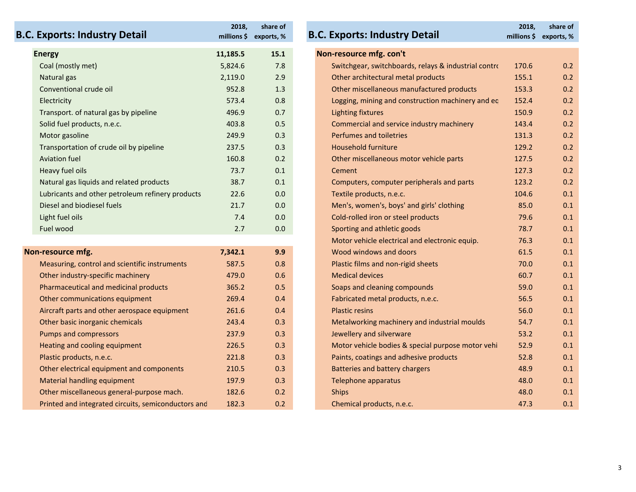| <b>B.C. Exports: Industry Detail</b>                | 2018,    | share of<br>millions \$ exports, % | <b>B.C. Exports: Industry Detail</b>                 | 2018, | share of<br>millions \$ exports, % |
|-----------------------------------------------------|----------|------------------------------------|------------------------------------------------------|-------|------------------------------------|
| <b>Energy</b>                                       | 11,185.5 | 15.1                               | Non-resource mfg. con't                              |       |                                    |
| Coal (mostly met)                                   | 5,824.6  | 7.8                                | Switchgear, switchboards, relays & industrial contro | 170.6 | 0.2                                |
| Natural gas                                         | 2,119.0  | 2.9                                | Other architectural metal products                   | 155.1 | 0.2                                |
| Conventional crude oil                              | 952.8    | 1.3                                | Other miscellaneous manufactured products            | 153.3 | 0.2                                |
| Electricity                                         | 573.4    | 0.8                                | Logging, mining and construction machinery and ec    | 152.4 | 0.2                                |
| Transport. of natural gas by pipeline               | 496.9    | 0.7                                | <b>Lighting fixtures</b>                             | 150.9 | 0.2                                |
| Solid fuel products, n.e.c.                         | 403.8    | 0.5                                | Commercial and service industry machinery            | 143.4 | 0.2                                |
| Motor gasoline                                      | 249.9    | 0.3                                | Perfumes and toiletries                              | 131.3 | 0.2                                |
| Transportation of crude oil by pipeline             | 237.5    | 0.3                                | <b>Household furniture</b>                           | 129.2 | 0.2                                |
| <b>Aviation fuel</b>                                | 160.8    | 0.2                                | Other miscellaneous motor vehicle parts              | 127.5 | 0.2                                |
| Heavy fuel oils                                     | 73.7     | 0.1                                | Cement                                               | 127.3 | 0.2                                |
| Natural gas liquids and related products            | 38.7     | 0.1                                | Computers, computer peripherals and parts            | 123.2 | 0.2                                |
| Lubricants and other petroleum refinery products    | 22.6     | 0.0                                | Textile products, n.e.c.                             | 104.6 | 0.1                                |
| Diesel and biodiesel fuels                          | 21.7     | 0.0                                | Men's, women's, boys' and girls' clothing            | 85.0  | 0.1                                |
| Light fuel oils                                     | 7.4      | 0.0                                | Cold-rolled iron or steel products                   | 79.6  | 0.1                                |
| Fuel wood                                           | 2.7      | 0.0                                | Sporting and athletic goods                          | 78.7  | 0.1                                |
|                                                     |          |                                    | Motor vehicle electrical and electronic equip.       | 76.3  | 0.1                                |
| Non-resource mfg.                                   | 7,342.1  | 9.9                                | Wood windows and doors                               | 61.5  | 0.1                                |
| Measuring, control and scientific instruments       | 587.5    | 0.8                                | Plastic films and non-rigid sheets                   | 70.0  | 0.1                                |
| Other industry-specific machinery                   | 479.0    | 0.6                                | <b>Medical devices</b>                               | 60.7  | 0.1                                |
| Pharmaceutical and medicinal products               | 365.2    | 0.5                                | Soaps and cleaning compounds                         | 59.0  | 0.1                                |
| Other communications equipment                      | 269.4    | 0.4                                | Fabricated metal products, n.e.c.                    | 56.5  | 0.1                                |
| Aircraft parts and other aerospace equipment        | 261.6    | 0.4                                | <b>Plastic resins</b>                                | 56.0  | 0.1                                |
| Other basic inorganic chemicals                     | 243.4    | 0.3                                | Metalworking machinery and industrial moulds         | 54.7  | 0.1                                |
| <b>Pumps and compressors</b>                        | 237.9    | 0.3                                | Jewellery and silverware                             | 53.2  | 0.1                                |
| Heating and cooling equipment                       | 226.5    | 0.3                                | Motor vehicle bodies & special purpose motor vehi    | 52.9  | 0.1                                |
| Plastic products, n.e.c.                            | 221.8    | 0.3                                | Paints, coatings and adhesive products               | 52.8  | 0.1                                |
| Other electrical equipment and components           | 210.5    | 0.3                                | <b>Batteries and battery chargers</b>                | 48.9  | 0.1                                |
| Material handling equipment                         | 197.9    | 0.3                                | Telephone apparatus                                  | 48.0  | 0.1                                |
| Other miscellaneous general-purpose mach.           | 182.6    | 0.2                                | <b>Ships</b>                                         | 48.0  | 0.1                                |
| Printed and integrated circuits, semiconductors and | 182.3    | 0.2                                | Chemical products, n.e.c.                            | 47.3  | 0.1                                |

| orts: Industry Detail                          | 2018,<br>millions \$ | share of<br>exports, % | <b>B.C. Exports: Industry Detail</b>                 | 2018,<br>millions \$ | share of<br>exports, % |
|------------------------------------------------|----------------------|------------------------|------------------------------------------------------|----------------------|------------------------|
|                                                | 11,185.5             | 15.1                   | Non-resource mfg. con't                              |                      |                        |
| (mostly met)                                   | 5,824.6              | 7.8                    | Switchgear, switchboards, relays & industrial contro | 170.6                | 0.2                    |
| ral gas                                        | 2,119.0              | 2.9                    | Other architectural metal products                   | 155.1                | 0.2                    |
| entional crude oil                             | 952.8                | 1.3                    | Other miscellaneous manufactured products            | 153.3                | 0.2                    |
| ricity                                         | 573.4                | 0.8                    | Logging, mining and construction machinery and ec    | 152.4                | 0.2                    |
| sport. of natural gas by pipeline              | 496.9                | 0.7                    | <b>Lighting fixtures</b>                             | 150.9                | 0.2                    |
| fuel products, n.e.c.                          | 403.8                | 0.5                    | Commercial and service industry machinery            | 143.4                | 0.2                    |
| or gasoline                                    | 249.9                | 0.3                    | Perfumes and toiletries                              | 131.3                | 0.2                    |
| sportation of crude oil by pipeline            | 237.5                | 0.3                    | <b>Household furniture</b>                           | 129.2                | 0.2                    |
| ion fuel                                       | 160.8                | 0.2                    | Other miscellaneous motor vehicle parts              | 127.5                | 0.2                    |
| y fuel oils                                    | 73.7                 | 0.1                    | Cement                                               | 127.3                | 0.2                    |
| ral gas liquids and related products           | 38.7                 | 0.1                    | Computers, computer peripherals and parts            | 123.2                | 0.2                    |
| cants and other petroleum refinery products    | 22.6                 | 0.0                    | Textile products, n.e.c.                             | 104.6                | 0.1                    |
| el and biodiesel fuels                         | 21.7                 | 0.0                    | Men's, women's, boys' and girls' clothing            | 85.0                 | 0.1                    |
| fuel oils                                      | 7.4                  | 0.0                    | Cold-rolled iron or steel products                   | 79.6                 | 0.1                    |
| wood                                           | 2.7                  | 0.0                    | Sporting and athletic goods                          | 78.7                 | 0.1                    |
|                                                |                      |                        | Motor vehicle electrical and electronic equip.       | 76.3                 | 0.1                    |
| ource mfg.                                     | 7,342.1              | 9.9                    | Wood windows and doors                               | 61.5                 | 0.1                    |
| suring, control and scientific instruments     | 587.5                | 0.8                    | Plastic films and non-rigid sheets                   | 70.0                 | 0.1                    |
| r industry-specific machinery                  | 479.0                | 0.6                    | <b>Medical devices</b>                               | 60.7                 | 0.1                    |
| maceutical and medicinal products              | 365.2                | 0.5                    | Soaps and cleaning compounds                         | 59.0                 | 0.1                    |
| r communications equipment                     | 269.4                | 0.4                    | Fabricated metal products, n.e.c.                    | 56.5                 | 0.1                    |
| aft parts and other aerospace equipment        | 261.6                | 0.4                    | <b>Plastic resins</b>                                | 56.0                 | 0.1                    |
| r basic inorganic chemicals                    | 243.4                | 0.3                    | Metalworking machinery and industrial moulds         | 54.7                 | 0.1                    |
| os and compressors                             | 237.9                | 0.3                    | Jewellery and silverware                             | 53.2                 | 0.1                    |
| ing and cooling equipment                      | 226.5                | 0.3                    | Motor vehicle bodies & special purpose motor vehi    | 52.9                 | 0.1                    |
| ic products, n.e.c.                            | 221.8                | 0.3                    | Paints, coatings and adhesive products               | 52.8                 | 0.1                    |
| r electrical equipment and components          | 210.5                | 0.3                    | <b>Batteries and battery chargers</b>                | 48.9                 | 0.1                    |
| rial handling equipment                        | 197.9                | 0.3                    | Telephone apparatus                                  | 48.0                 | 0.1                    |
| r miscellaneous general-purpose mach.          | 182.6                | 0.2                    | <b>Ships</b>                                         | 48.0                 | 0.1                    |
| ed and integrated circuits, semiconductors and | 1823                 | 0.2                    | Chemical products n e c                              | 47.3                 | $\Omega$ 1             |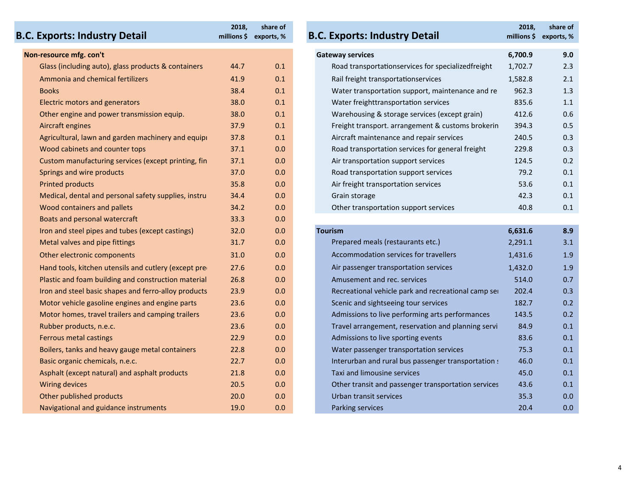## **B.C. Exports: Industry Detail B.C. Exports: Industry Detail**

| Non-resource mfg. con't               |                                                       |      |     | <b>Gateway services</b>                             | 6,700.9 | 9.0 |
|---------------------------------------|-------------------------------------------------------|------|-----|-----------------------------------------------------|---------|-----|
|                                       | Glass (including auto), glass products & containers   | 44.7 | 0.1 | Road transportationservices for specializedfreight  | 1,702.7 | 2.3 |
| Ammonia and chemical fertilizers      |                                                       | 41.9 | 0.1 | Rail freight transportationservices                 | 1,582.8 | 2.1 |
| <b>Books</b>                          |                                                       | 38.4 | 0.1 | Water transportation support, maintenance and re    | 962.3   | 1.3 |
| <b>Electric motors and generators</b> |                                                       | 38.0 | 0.1 | Water freighttransportation services                | 835.6   | 1.1 |
|                                       | Other engine and power transmission equip.            | 38.0 | 0.1 | Warehousing & storage services (except grain)       | 412.6   | 0.6 |
| Aircraft engines                      |                                                       | 37.9 | 0.1 | Freight transport. arrangement & customs brokerin   | 394.3   | 0.5 |
|                                       | Agricultural, lawn and garden machinery and equipi    | 37.8 | 0.1 | Aircraft maintenance and repair services            | 240.5   | 0.3 |
| Wood cabinets and counter tops        |                                                       | 37.1 | 0.0 | Road transportation services for general freight    | 229.8   | 0.3 |
|                                       | Custom manufacturing services (except printing, fin   | 37.1 | 0.0 | Air transportation support services                 | 124.5   | 0.2 |
| Springs and wire products             |                                                       | 37.0 | 0.0 | Road transportation support services                | 79.2    | 0.1 |
| <b>Printed products</b>               |                                                       | 35.8 | 0.0 | Air freight transportation services                 | 53.6    | 0.1 |
|                                       | Medical, dental and personal safety supplies, instru  | 34.4 | 0.0 | Grain storage                                       | 42.3    | 0.1 |
| Wood containers and pallets           |                                                       | 34.2 | 0.0 | Other transportation support services               | 40.8    | 0.1 |
| Boats and personal watercraft         |                                                       | 33.3 | 0.0 |                                                     |         |     |
|                                       | Iron and steel pipes and tubes (except castings)      | 32.0 | 0.0 | <b>Tourism</b>                                      | 6,631.6 | 8.9 |
| Metal valves and pipe fittings        |                                                       | 31.7 | 0.0 | Prepared meals (restaurants etc.)                   | 2,291.1 | 3.1 |
| Other electronic components           |                                                       | 31.0 | 0.0 | Accommodation services for travellers               | 1,431.6 | 1.9 |
|                                       | Hand tools, kitchen utensils and cutlery (except pred | 27.6 | 0.0 | Air passenger transportation services               | 1,432.0 | 1.9 |
|                                       | Plastic and foam building and construction material   | 26.8 | 0.0 | Amusement and rec. services                         | 514.0   | 0.7 |
|                                       | Iron and steel basic shapes and ferro-alloy products  | 23.9 | 0.0 | Recreational vehicle park and recreational camp ser | 202.4   | 0.3 |
|                                       | Motor vehicle gasoline engines and engine parts       | 23.6 | 0.0 | Scenic and sightseeing tour services                | 182.7   | 0.2 |
|                                       | Motor homes, travel trailers and camping trailers     | 23.6 | 0.0 | Admissions to live performing arts performances     | 143.5   | 0.2 |
| Rubber products, n.e.c.               |                                                       | 23.6 | 0.0 | Travel arrangement, reservation and planning servi  | 84.9    | 0.1 |
| Ferrous metal castings                |                                                       | 22.9 | 0.0 | Admissions to live sporting events                  | 83.6    | 0.1 |
|                                       | Boilers, tanks and heavy gauge metal containers       | 22.8 | 0.0 | Water passenger transportation services             | 75.3    | 0.1 |
| Basic organic chemicals, n.e.c.       |                                                       | 22.7 | 0.0 | Interurban and rural bus passenger transportation : | 46.0    | 0.1 |
|                                       | Asphalt (except natural) and asphalt products         | 21.8 | 0.0 | Taxi and limousine services                         | 45.0    | 0.1 |
| <b>Wiring devices</b>                 |                                                       | 20.5 | 0.0 | Other transit and passenger transportation services | 43.6    | 0.1 |
| Other published products              |                                                       | 20.0 | 0.0 | Urban transit services                              | 35.3    | 0.0 |
| Navigational and guidance instruments |                                                       | 19.0 | 0.0 | Parking services                                    | 20.4    | 0.0 |

| <b>Exports: Industry Detail:</b>                      | 2018,           | share of<br>millions \$ exports, % | <b>B.C. Exports: Industry Detail</b>                | 2018,<br>millions \$ exports, % | share of |
|-------------------------------------------------------|-----------------|------------------------------------|-----------------------------------------------------|---------------------------------|----------|
| resource mfg. con't                                   |                 |                                    | <b>Gateway services</b>                             | 6,700.9                         | 9.0      |
| Glass (including auto), glass products & containers   | 44.7            | 0.1                                | Road transportationservices for specializedfreight  | 1,702.7                         | 2.3      |
| <b>Ammonia and chemical fertilizers</b>               | 41.9            | 0.1                                | Rail freight transportationservices                 | 1,582.8                         | 2.1      |
| Books                                                 | 38.4            | 0.1                                | Water transportation support, maintenance and re    | 962.3                           | 1.3      |
| <b>Electric motors and generators</b>                 | 38.0            | 0.1                                | Water freighttransportation services                | 835.6                           | 1.1      |
| Other engine and power transmission equip.            | 38.0            | 0.1                                | Warehousing & storage services (except grain)       | 412.6                           | 0.6      |
| Aircraft engines                                      | 37.9            | 0.1                                | Freight transport. arrangement & customs brokerin   | 394.3                           | 0.5      |
| Agricultural, lawn and garden machinery and equipi    | 37.8            | 0.1                                | Aircraft maintenance and repair services            | 240.5                           | 0.3      |
| Wood cabinets and counter tops                        | 37.1            | 0.0                                | Road transportation services for general freight    | 229.8                           | 0.3      |
| Custom manufacturing services (except printing, fin   | 37.1            | 0.0                                | Air transportation support services                 | 124.5                           | 0.2      |
| Springs and wire products                             | 37.0            | 0.0                                | Road transportation support services                | 79.2                            | 0.1      |
| <b>Printed products</b>                               | 35.8            | 0.0                                | Air freight transportation services                 | 53.6                            | 0.1      |
| Medical, dental and personal safety supplies, instru  | 34.4            | 0.0                                | Grain storage                                       | 42.3                            | 0.1      |
| Wood containers and pallets                           | 34.2            | 0.0                                | Other transportation support services               | 40.8                            | 0.1      |
| Boats and personal watercraft                         | 33.3            | 0.0                                |                                                     |                                 |          |
| Iron and steel pipes and tubes (except castings)      | 32.0            | 0.0                                | <b>Tourism</b>                                      | 6,631.6                         | 8.9      |
| Metal valves and pipe fittings                        | 31.7            | 0.0                                | Prepared meals (restaurants etc.)                   | 2,291.1                         | 3.1      |
| Other electronic components                           | 31.0            | 0.0                                | Accommodation services for travellers               | 1,431.6                         | 1.9      |
| Hand tools, kitchen utensils and cutlery (except pred | 27.6            | 0.0                                | Air passenger transportation services               | 1,432.0                         | 1.9      |
| Plastic and foam building and construction material   | 26.8            | 0.0                                | Amusement and rec. services                         | 514.0                           | 0.7      |
| Iron and steel basic shapes and ferro-alloy products  | 23.9            | 0.0                                | Recreational vehicle park and recreational camp ser | 202.4                           | 0.3      |
| Motor vehicle gasoline engines and engine parts       | 23.6            | 0.0                                | Scenic and sightseeing tour services                | 182.7                           | 0.2      |
| Motor homes, travel trailers and camping trailers     | 23.6            | 0.0                                | Admissions to live performing arts performances     | 143.5                           | 0.2      |
| Rubber products, n.e.c.                               | 23.6            | 0.0                                | Travel arrangement, reservation and planning servi  | 84.9                            | 0.1      |
| <b>Ferrous metal castings</b>                         | 22.9            | 0.0                                | Admissions to live sporting events                  | 83.6                            | 0.1      |
| Boilers, tanks and heavy gauge metal containers       | 22.8            | 0.0                                | Water passenger transportation services             | 75.3                            | 0.1      |
| Basic organic chemicals, n.e.c.                       | 22.7            | 0.0                                | Interurban and rural bus passenger transportation : | 46.0                            | 0.1      |
| Asphalt (except natural) and asphalt products         | 21.8            | 0.0                                | Taxi and limousine services                         | 45.0                            | 0.1      |
| <b>Wiring devices</b>                                 | 20.5            | 0.0                                | Other transit and passenger transportation services | 43.6                            | 0.1      |
| Other published products                              | 20.0            | 0.0                                | Urban transit services                              | 35.3                            | 0.0      |
| Navigational and quidance instruments                 | 10 <sub>n</sub> | $\cap$ $\cap$                      | Darking convices                                    | 20A                             | $\cap$   |